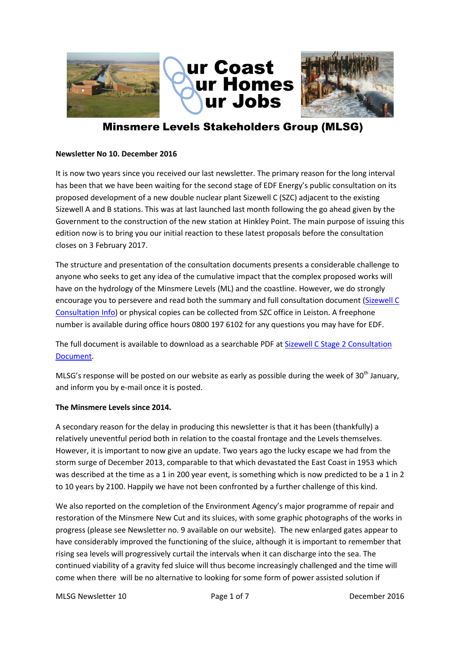



# **Minsmere Levels Stakeholders Group (MLSG)**

### **Newsletter No 10. December 2016**

It is now two years since you received our last newsletter. The primary reason for the long interval has been that we have been waiting for the second stage of EDF Energy's public consultation on its proposed development of a new double nuclear plant Sizewell C (SZC) adjacent to the existing Sizewell A and B stations. This was at last launched last month following the go ahead given by the Government to the construction of the new station at Hinkley Point. The main purpose of issuing this edition now is to bring you our initial reaction to these latest proposals before the consultation closes on 3 February 2017.

The structure and presentation of the consultation documents presents a considerable challenge to anyone who seeks to get any idea of the cumulative impact that the complex proposed works will have on the hydrology of the Minsmere Levels (ML) and the coastline. However, we do strongly encourage you to persevere and read both the summary and full consultation document [\(Sizewell C](http://sizewell.edfenergyconsultation.info/szc-proposals/stage-2/)  [Consultation Info\)](http://sizewell.edfenergyconsultation.info/szc-proposals/stage-2/) or physical copies can be collected from SZC office in Leiston. A freephone number is available during office hours 0800 197 6102 for any questions you may have for EDF.

The full document is available to download as a searchable PDF a[t Sizewell C Stage 2 Consultation](http://sizewell.edfenergyconsultation.info/wp-content/uploads/2016/11/EDF_SZC_Stage2_ConsultationDoc_sfw.pdf)  [Document.](http://sizewell.edfenergyconsultation.info/wp-content/uploads/2016/11/EDF_SZC_Stage2_ConsultationDoc_sfw.pdf)

MLSG's response will be posted on our website as early as possible during the week of 30<sup>th</sup> January, and inform you by e-mail once it is posted.

#### **The Minsmere Levels since 2014.**

A secondary reason for the delay in producing this newsletter is that it has been (thankfully) a relatively uneventful period both in relation to the coastal frontage and the Levels themselves. However, it is important to now give an update. Two years ago the lucky escape we had from the storm surge of December 2013, comparable to that which devastated the East Coast in 1953 which was described at the time as a 1 in 200 year event, is something which is now predicted to be a 1 in 2 to 10 years by 2100. Happily we have not been confronted by a further challenge of this kind.

We also reported on the completion of the Environment Agency's major programme of repair and restoration of the Minsmere New Cut and its sluices, with some graphic photographs of the works in progress (please see Newsletter no. 9 available on our website). The new enlarged gates appear to have considerably improved the functioning of the sluice, although it is important to remember that rising sea levels will progressively curtail the intervals when it can discharge into the sea. The continued viability of a gravity fed sluice will thus become increasingly challenged and the time will come when there will be no alternative to looking for some form of power assisted solution if

MLSG Newsletter 10 **Page 1 of 7** Page 1 of 7 **December 2016**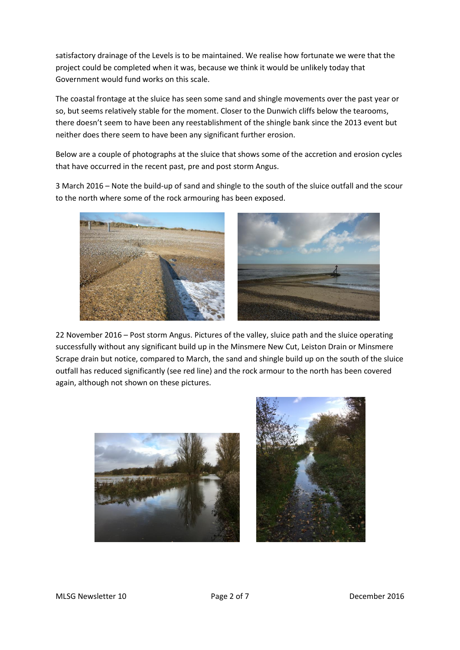satisfactory drainage of the Levels is to be maintained. We realise how fortunate we were that the project could be completed when it was, because we think it would be unlikely today that Government would fund works on this scale.

The coastal frontage at the sluice has seen some sand and shingle movements over the past year or so, but seems relatively stable for the moment. Closer to the Dunwich cliffs below the tearooms, there doesn't seem to have been any reestablishment of the shingle bank since the 2013 event but neither does there seem to have been any significant further erosion.

Below are a couple of photographs at the sluice that shows some of the accretion and erosion cycles that have occurred in the recent past, pre and post storm Angus.

3 March 2016 – Note the build-up of sand and shingle to the south of the sluice outfall and the scour to the north where some of the rock armouring has been exposed.





22 November 2016 – Post storm Angus. Pictures of the valley, sluice path and the sluice operating successfully without any significant build up in the Minsmere New Cut, Leiston Drain or Minsmere Scrape drain but notice, compared to March, the sand and shingle build up on the south of the sluice outfall has reduced significantly (see red line) and the rock armour to the north has been covered again, although not shown on these pictures.



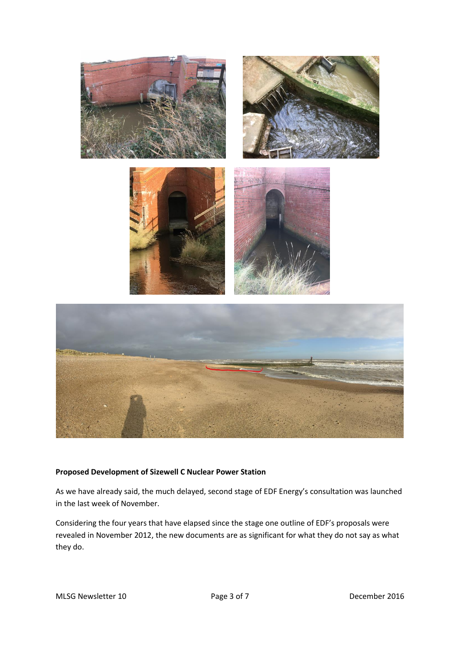

## **Proposed Development of Sizewell C Nuclear Power Station**

As we have already said, the much delayed, second stage of EDF Energy's consultation was launched in the last week of November.

Considering the four years that have elapsed since the stage one outline of EDF's proposals were revealed in November 2012, the new documents are as significant for what they do not say as what they do.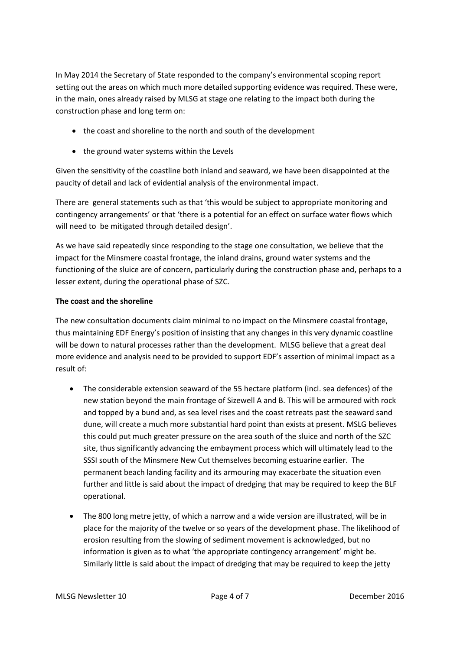In May 2014 the Secretary of State responded to the company's environmental scoping report setting out the areas on which much more detailed supporting evidence was required. These were, in the main, ones already raised by MLSG at stage one relating to the impact both during the construction phase and long term on:

- the coast and shoreline to the north and south of the development
- the ground water systems within the Levels

Given the sensitivity of the coastline both inland and seaward, we have been disappointed at the paucity of detail and lack of evidential analysis of the environmental impact.

There are general statements such as that 'this would be subject to appropriate monitoring and contingency arrangements' or that 'there is a potential for an effect on surface water flows which will need to be mitigated through detailed design'.

As we have said repeatedly since responding to the stage one consultation, we believe that the impact for the Minsmere coastal frontage, the inland drains, ground water systems and the functioning of the sluice are of concern, particularly during the construction phase and, perhaps to a lesser extent, during the operational phase of SZC.

# **The coast and the shoreline**

The new consultation documents claim minimal to no impact on the Minsmere coastal frontage, thus maintaining EDF Energy's position of insisting that any changes in this very dynamic coastline will be down to natural processes rather than the development. MLSG believe that a great deal more evidence and analysis need to be provided to support EDF's assertion of minimal impact as a result of:

- The considerable extension seaward of the 55 hectare platform (incl. sea defences) of the new station beyond the main frontage of Sizewell A and B. This will be armoured with rock and topped by a bund and, as sea level rises and the coast retreats past the seaward sand dune, will create a much more substantial hard point than exists at present. MSLG believes this could put much greater pressure on the area south of the sluice and north of the SZC site, thus significantly advancing the embayment process which will ultimately lead to the SSSI south of the Minsmere New Cut themselves becoming estuarine earlier. The permanent beach landing facility and its armouring may exacerbate the situation even further and little is said about the impact of dredging that may be required to keep the BLF operational.
- The 800 long metre jetty, of which a narrow and a wide version are illustrated, will be in place for the majority of the twelve or so years of the development phase. The likelihood of erosion resulting from the slowing of sediment movement is acknowledged, but no information is given as to what 'the appropriate contingency arrangement' might be. Similarly little is said about the impact of dredging that may be required to keep the jetty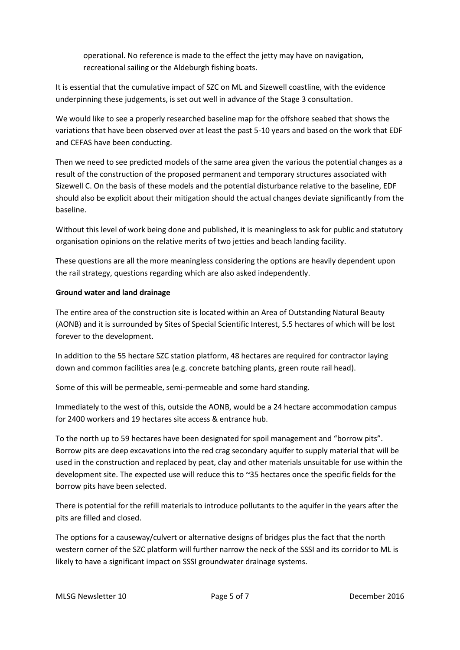operational. No reference is made to the effect the jetty may have on navigation, recreational sailing or the Aldeburgh fishing boats.

It is essential that the cumulative impact of SZC on ML and Sizewell coastline, with the evidence underpinning these judgements, is set out well in advance of the Stage 3 consultation.

We would like to see a properly researched baseline map for the offshore seabed that shows the variations that have been observed over at least the past 5-10 years and based on the work that EDF and CEFAS have been conducting.

Then we need to see predicted models of the same area given the various the potential changes as a result of the construction of the proposed permanent and temporary structures associated with Sizewell C. On the basis of these models and the potential disturbance relative to the baseline, EDF should also be explicit about their mitigation should the actual changes deviate significantly from the baseline.

Without this level of work being done and published, it is meaningless to ask for public and statutory organisation opinions on the relative merits of two jetties and beach landing facility.

These questions are all the more meaningless considering the options are heavily dependent upon the rail strategy, questions regarding which are also asked independently.

## **Ground water and land drainage**

The entire area of the construction site is located within an Area of Outstanding Natural Beauty (AONB) and it is surrounded by Sites of Special Scientific Interest, 5.5 hectares of which will be lost forever to the development.

In addition to the 55 hectare SZC station platform, 48 hectares are required for contractor laying down and common facilities area (e.g. concrete batching plants, green route rail head).

Some of this will be permeable, semi-permeable and some hard standing.

Immediately to the west of this, outside the AONB, would be a 24 hectare accommodation campus for 2400 workers and 19 hectares site access & entrance hub.

To the north up to 59 hectares have been designated for spoil management and "borrow pits". Borrow pits are deep excavations into the red crag secondary aquifer to supply material that will be used in the construction and replaced by peat, clay and other materials unsuitable for use within the development site. The expected use will reduce this to ~35 hectares once the specific fields for the borrow pits have been selected.

There is potential for the refill materials to introduce pollutants to the aquifer in the years after the pits are filled and closed.

The options for a causeway/culvert or alternative designs of bridges plus the fact that the north western corner of the SZC platform will further narrow the neck of the SSSI and its corridor to ML is likely to have a significant impact on SSSI groundwater drainage systems.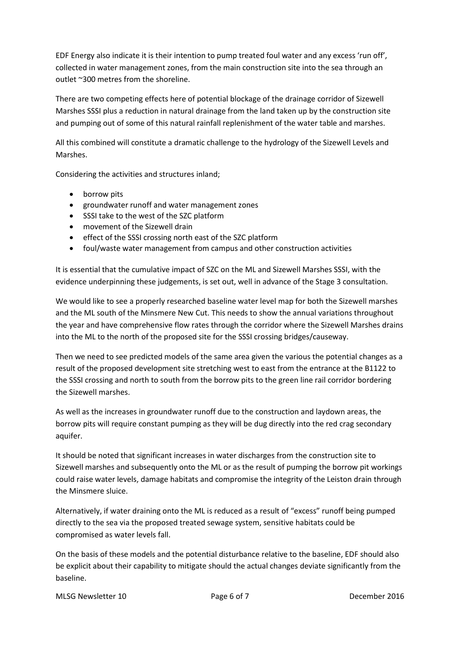EDF Energy also indicate it is their intention to pump treated foul water and any excess 'run off', collected in water management zones, from the main construction site into the sea through an outlet ~300 metres from the shoreline.

There are two competing effects here of potential blockage of the drainage corridor of Sizewell Marshes SSSI plus a reduction in natural drainage from the land taken up by the construction site and pumping out of some of this natural rainfall replenishment of the water table and marshes.

All this combined will constitute a dramatic challenge to the hydrology of the Sizewell Levels and Marshes.

Considering the activities and structures inland;

- borrow pits
- groundwater runoff and water management zones
- SSSI take to the west of the SZC platform
- movement of the Sizewell drain
- effect of the SSSI crossing north east of the SZC platform
- foul/waste water management from campus and other construction activities

It is essential that the cumulative impact of SZC on the ML and Sizewell Marshes SSSI, with the evidence underpinning these judgements, is set out, well in advance of the Stage 3 consultation.

We would like to see a properly researched baseline water level map for both the Sizewell marshes and the ML south of the Minsmere New Cut. This needs to show the annual variations throughout the year and have comprehensive flow rates through the corridor where the Sizewell Marshes drains into the ML to the north of the proposed site for the SSSI crossing bridges/causeway.

Then we need to see predicted models of the same area given the various the potential changes as a result of the proposed development site stretching west to east from the entrance at the B1122 to the SSSI crossing and north to south from the borrow pits to the green line rail corridor bordering the Sizewell marshes.

As well as the increases in groundwater runoff due to the construction and laydown areas, the borrow pits will require constant pumping as they will be dug directly into the red crag secondary aquifer.

It should be noted that significant increases in water discharges from the construction site to Sizewell marshes and subsequently onto the ML or as the result of pumping the borrow pit workings could raise water levels, damage habitats and compromise the integrity of the Leiston drain through the Minsmere sluice.

Alternatively, if water draining onto the ML is reduced as a result of "excess" runoff being pumped directly to the sea via the proposed treated sewage system, sensitive habitats could be compromised as water levels fall.

On the basis of these models and the potential disturbance relative to the baseline, EDF should also be explicit about their capability to mitigate should the actual changes deviate significantly from the baseline.

MLSG Newsletter 10 **Page 6 of 7** Page 6 of 7 **December 2016**